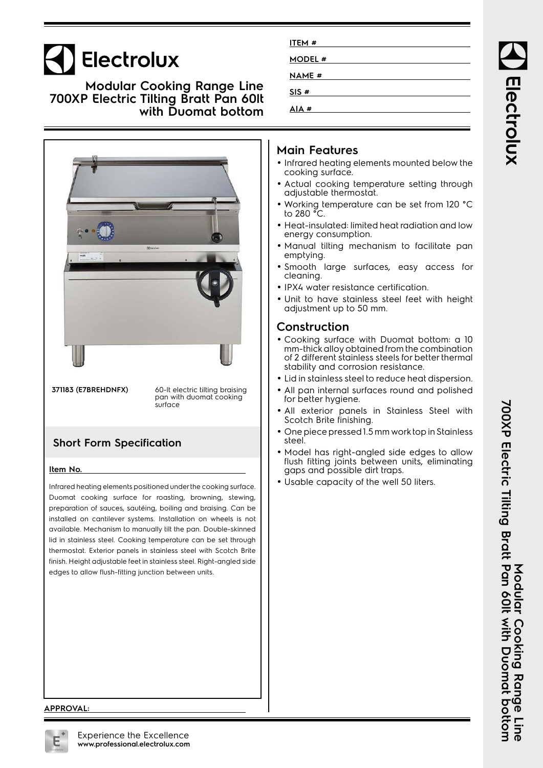# Electrolux

**Modular Cooking Range Line 700XP Electric Tilting Bratt Pan 60lt with Duomat bottom**



**371183 (E7BREHDNFX)** 60-lt electric tilting braising pan with duomat cooking surface

## **Short Form Specification**

### **Item No.**

Infrared heating elements positioned under the cooking surface. Duomat cooking surface for roasting, browning, stewing, preparation of sauces, sautéing, boiling and braising. Can be installed on cantilever systems. Installation on wheels is not available. Mechanism to manually tilt the pan. Double-skinned lid in stainless steel. Cooking temperature can be set through thermostat. Exterior panels in stainless steel with Scotch Brite finish. Height adjustable feet in stainless steel. Right-angled side edges to allow flush-fitting junction between units.

| ITEM #        |  |
|---------------|--|
|               |  |
| <b>MODEL#</b> |  |
| <b>NAME</b> # |  |
| SIS#          |  |
| AIA #         |  |
|               |  |

## **Main Features**

- Infrared heating elements mounted below the cooking surface.
- Actual cooking temperature setting through adjustable thermostat.
- Working temperature can be set from 120 °C to 280 °C.
- Heat-insulated: limited heat radiation and low energy consumption.
- Manual tilting mechanism to facilitate pan emptying.
- Smooth large surfaces, easy access for cleaning.
- IPX4 water resistance certification.
- Unit to have stainless steel feet with height adjustment up to 50 mm.

## **Construction**

- Cooking surface with Duomat bottom: a 10 mm-thick alloy obtained from the combination of 2 different stainless steels for better thermal stability and corrosion resistance.
- Lid in stainless steel to reduce heat dispersion.
- All pan internal surfaces round and polished for better hygiene.
- All exterior panels in Stainless Steel with Scotch Brite finishing.
- • One piece pressed 1.5 mm work top in Stainless steel.
- • Model has right-angled side edges to allow flush fitting joints between units, eliminating gaps and possible dirt traps.
- Usable capacity of the well 50 liters.

#### **APPROVAL:**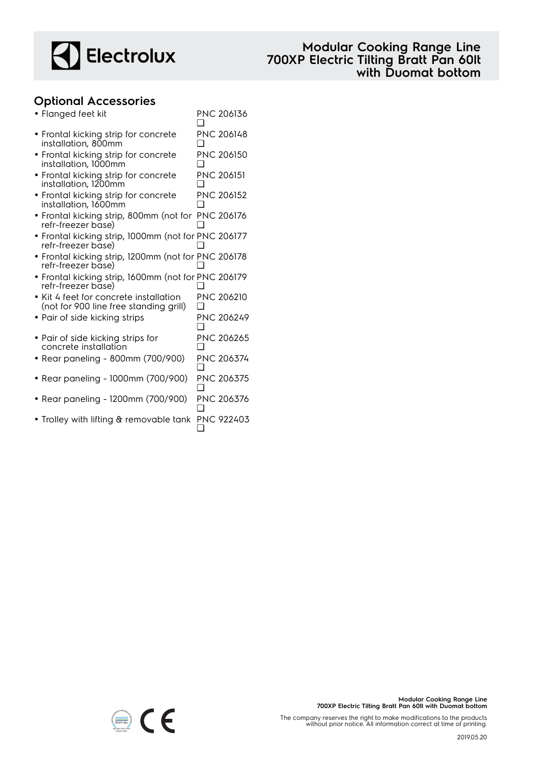

## **Optional Accessories**

| • Flanged feet kit                                                               | <b>PNC 206136</b> |
|----------------------------------------------------------------------------------|-------------------|
| • Frontal kicking strip for concrete<br>installation, 800mm                      | PNC 206148        |
| • Frontal kicking strip for concrete<br>installation, 1000mm                     | PNC 206150        |
| • Frontal kicking strip for concrete<br>installation, 1200mm                     | <b>PNC 206151</b> |
| • Frontal kicking strip for concrete<br>installation, 1600mm                     | <b>PNC 206152</b> |
| • Frontal kicking strip, 800mm (not for PNC 206176<br>refr-freezer base)         |                   |
| · Frontal kicking strip, 1000mm (not for PNC 206177<br>refr-freezer base)        |                   |
| • Frontal kicking strip, 1200mm (not for PNC 206178<br>refr-freezer base)        |                   |
| • Frontal kicking strip, 1600mm (not for PNC 206179<br>refr-freezer base)        |                   |
| • Kit 4 feet for concrete installation<br>(not for 900 line free standing grill) | <b>PNC 206210</b> |
| $\bullet$ Pair of side kicking strips                                            | PNC 206249        |
| • Pair of side kicking strips for<br>concrete installation                       | PNC 206265        |
| • Rear paneling - 800mm (700/900)                                                | PNC 206374        |
| • Rear paneling - 1000mm (700/900)                                               | PNC 206375        |
| • Rear paneling - 1200mm (700/900)                                               | PNC 206376        |
| • Trolley with lifting & removable tank                                          | PNC 922403        |

The company reserves the right to make modifications to the products without prior notice. All information correct at time of printing.